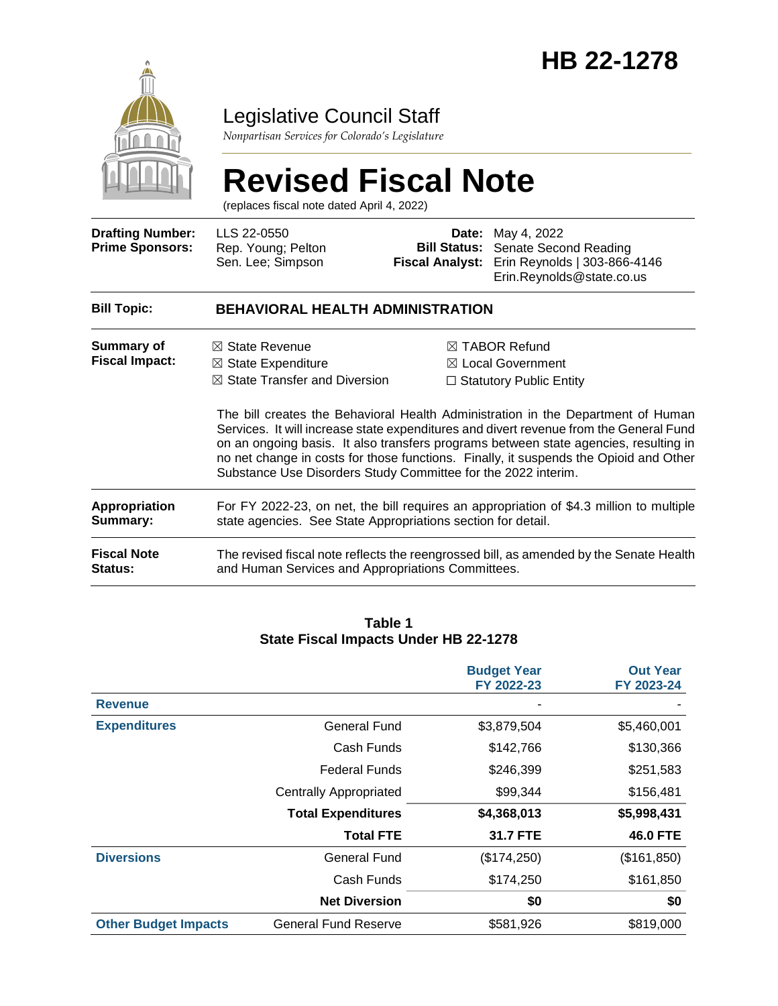

# Legislative Council Staff

*Nonpartisan Services for Colorado's Legislature*

# **Revised Fiscal Note**

(replaces fiscal note dated April 4, 2022)

| <b>Drafting Number:</b><br><b>Prime Sponsors:</b> | LLS 22-0550<br>Rep. Young; Pelton<br>Sen. Lee; Simpson                                                                                                                  | <b>Fiscal Analyst:</b> | <b>Date:</b> May 4, 2022<br><b>Bill Status:</b> Senate Second Reading<br>Erin Reynolds   303-866-4146<br>Erin.Reynolds@state.co.us                                                                                                                                                                                                                                                                                                                        |  |
|---------------------------------------------------|-------------------------------------------------------------------------------------------------------------------------------------------------------------------------|------------------------|-----------------------------------------------------------------------------------------------------------------------------------------------------------------------------------------------------------------------------------------------------------------------------------------------------------------------------------------------------------------------------------------------------------------------------------------------------------|--|
| <b>Bill Topic:</b>                                | <b>BEHAVIORAL HEALTH ADMINISTRATION</b>                                                                                                                                 |                        |                                                                                                                                                                                                                                                                                                                                                                                                                                                           |  |
| Summary of<br><b>Fiscal Impact:</b>               | $\boxtimes$ State Revenue<br>$\boxtimes$ State Expenditure<br>$\boxtimes$ State Transfer and Diversion<br>Substance Use Disorders Study Committee for the 2022 interim. |                        | $\boxtimes$ TABOR Refund<br>$\boxtimes$ Local Government<br>$\Box$ Statutory Public Entity<br>The bill creates the Behavioral Health Administration in the Department of Human<br>Services. It will increase state expenditures and divert revenue from the General Fund<br>on an ongoing basis. It also transfers programs between state agencies, resulting in<br>no net change in costs for those functions. Finally, it suspends the Opioid and Other |  |
| <b>Appropriation</b><br>Summary:                  | For FY 2022-23, on net, the bill requires an appropriation of \$4.3 million to multiple<br>state agencies. See State Appropriations section for detail.                 |                        |                                                                                                                                                                                                                                                                                                                                                                                                                                                           |  |
| <b>Fiscal Note</b><br><b>Status:</b>              | and Human Services and Appropriations Committees.                                                                                                                       |                        | The revised fiscal note reflects the reengrossed bill, as amended by the Senate Health                                                                                                                                                                                                                                                                                                                                                                    |  |

#### **Table 1 State Fiscal Impacts Under HB 22-1278**

|                             |                               | <b>Budget Year</b><br>FY 2022-23 | <b>Out Year</b><br>FY 2023-24 |
|-----------------------------|-------------------------------|----------------------------------|-------------------------------|
| <b>Revenue</b>              |                               |                                  |                               |
| <b>Expenditures</b>         | <b>General Fund</b>           | \$3,879,504                      | \$5,460,001                   |
|                             | Cash Funds                    | \$142,766                        | \$130,366                     |
|                             | <b>Federal Funds</b>          | \$246,399                        | \$251,583                     |
|                             | <b>Centrally Appropriated</b> | \$99,344                         | \$156,481                     |
|                             | <b>Total Expenditures</b>     | \$4,368,013                      | \$5,998,431                   |
|                             | <b>Total FTE</b>              | 31.7 FTE                         | <b>46.0 FTE</b>               |
| <b>Diversions</b>           | <b>General Fund</b>           | (\$174,250)                      | (\$161, 850)                  |
|                             | Cash Funds                    | \$174,250                        | \$161,850                     |
|                             | <b>Net Diversion</b>          | \$0                              | \$0                           |
| <b>Other Budget Impacts</b> | <b>General Fund Reserve</b>   | \$581,926                        | \$819,000                     |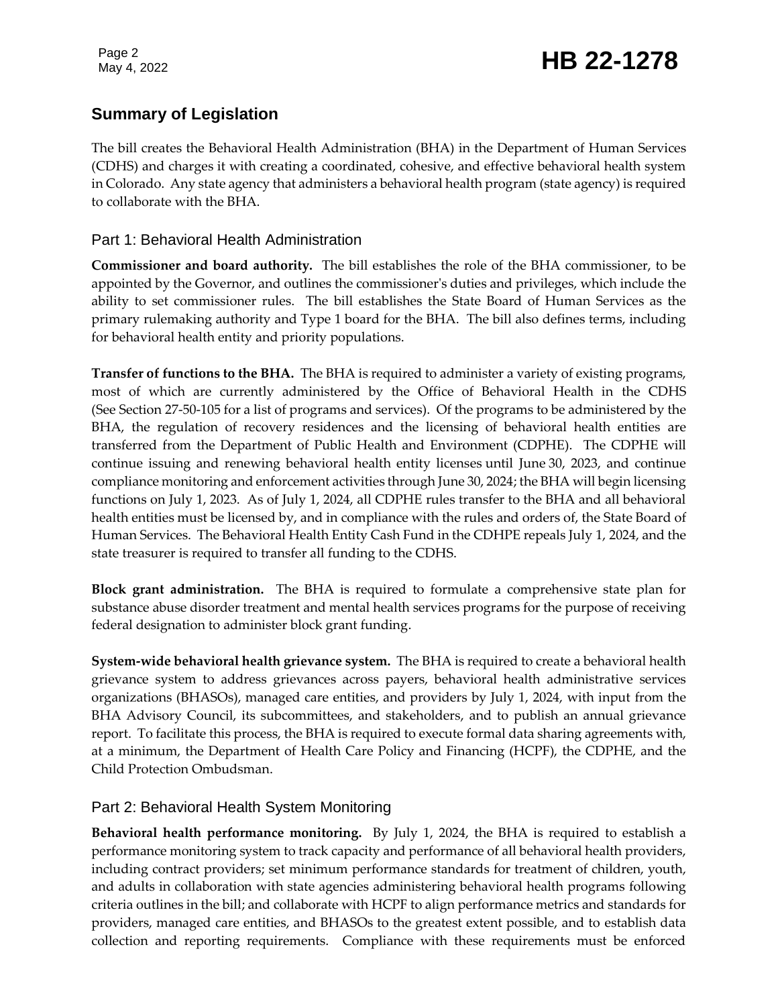# **Summary of Legislation**

The bill creates the Behavioral Health Administration (BHA) in the Department of Human Services (CDHS) and charges it with creating a coordinated, cohesive, and effective behavioral health system in Colorado. Any state agency that administers a behavioral health program (state agency) is required to collaborate with the BHA.

### Part 1: Behavioral Health Administration

**Commissioner and board authority.** The bill establishes the role of the BHA commissioner, to be appointed by the Governor, and outlines the commissioner's duties and privileges, which include the ability to set commissioner rules. The bill establishes the State Board of Human Services as the primary rulemaking authority and Type 1 board for the BHA. The bill also defines terms, including for behavioral health entity and priority populations.

**Transfer of functions to the BHA.** The BHA is required to administer a variety of existing programs, most of which are currently administered by the Office of Behavioral Health in the CDHS (See Section 27-50-105 for a list of programs and services). Of the programs to be administered by the BHA, the regulation of recovery residences and the licensing of behavioral health entities are transferred from the Department of Public Health and Environment (CDPHE). The CDPHE will continue issuing and renewing behavioral health entity licenses until June 30, 2023, and continue compliance monitoring and enforcement activities through June 30, 2024; the BHA will begin licensing functions on July 1, 2023. As of July 1, 2024, all CDPHE rules transfer to the BHA and all behavioral health entities must be licensed by, and in compliance with the rules and orders of, the State Board of Human Services. The Behavioral Health Entity Cash Fund in the CDHPE repeals July 1, 2024, and the state treasurer is required to transfer all funding to the CDHS.

**Block grant administration.** The BHA is required to formulate a comprehensive state plan for substance abuse disorder treatment and mental health services programs for the purpose of receiving federal designation to administer block grant funding.

**System-wide behavioral health grievance system.** The BHA is required to create a behavioral health grievance system to address grievances across payers, behavioral health administrative services organizations (BHASOs), managed care entities, and providers by July 1, 2024, with input from the BHA Advisory Council, its subcommittees, and stakeholders, and to publish an annual grievance report. To facilitate this process, the BHA is required to execute formal data sharing agreements with, at a minimum, the Department of Health Care Policy and Financing (HCPF), the CDPHE, and the Child Protection Ombudsman.

#### Part 2: Behavioral Health System Monitoring

**Behavioral health performance monitoring.** By July 1, 2024, the BHA is required to establish a performance monitoring system to track capacity and performance of all behavioral health providers, including contract providers; set minimum performance standards for treatment of children, youth, and adults in collaboration with state agencies administering behavioral health programs following criteria outlines in the bill; and collaborate with HCPF to align performance metrics and standards for providers, managed care entities, and BHASOs to the greatest extent possible, and to establish data collection and reporting requirements. Compliance with these requirements must be enforced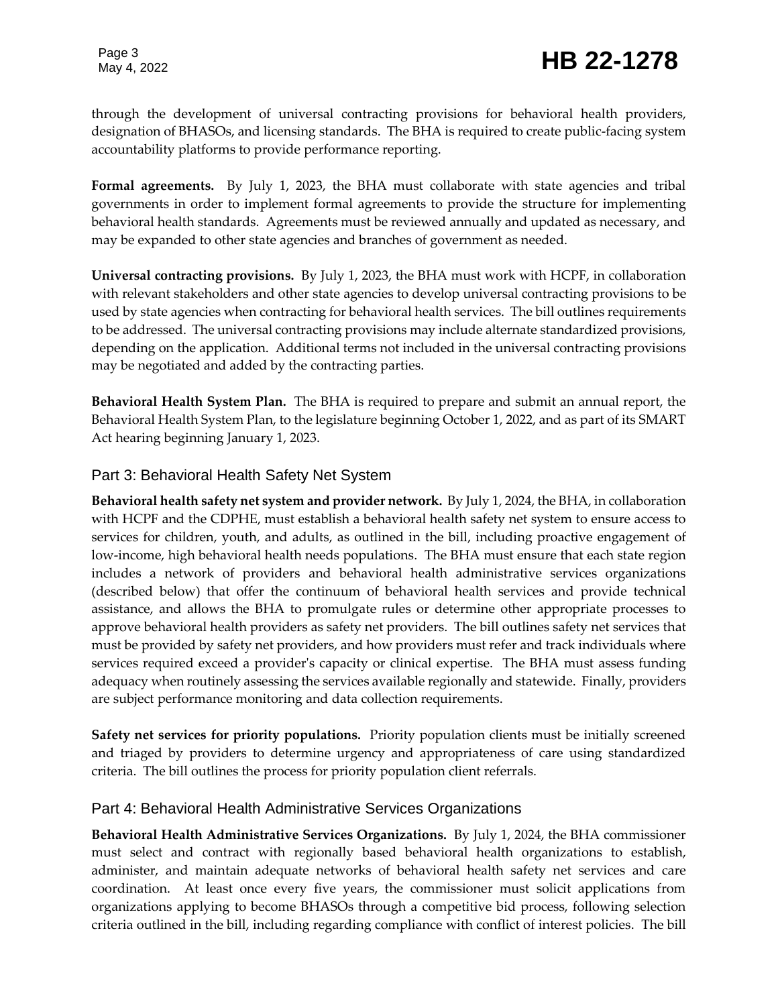# Page 3<br>May 4, 2022 **HB 22-1278**

through the development of universal contracting provisions for behavioral health providers, designation of BHASOs, and licensing standards. The BHA is required to create public-facing system accountability platforms to provide performance reporting.

**Formal agreements.** By July 1, 2023, the BHA must collaborate with state agencies and tribal governments in order to implement formal agreements to provide the structure for implementing behavioral health standards. Agreements must be reviewed annually and updated as necessary, and may be expanded to other state agencies and branches of government as needed.

**Universal contracting provisions.** By July 1, 2023, the BHA must work with HCPF, in collaboration with relevant stakeholders and other state agencies to develop universal contracting provisions to be used by state agencies when contracting for behavioral health services. The bill outlines requirements to be addressed. The universal contracting provisions may include alternate standardized provisions, depending on the application. Additional terms not included in the universal contracting provisions may be negotiated and added by the contracting parties.

**Behavioral Health System Plan.** The BHA is required to prepare and submit an annual report, the Behavioral Health System Plan, to the legislature beginning October 1, 2022, and as part of its SMART Act hearing beginning January 1, 2023.

#### Part 3: Behavioral Health Safety Net System

**Behavioral health safety net system and provider network.** By July 1, 2024, the BHA, in collaboration with HCPF and the CDPHE, must establish a behavioral health safety net system to ensure access to services for children, youth, and adults, as outlined in the bill, including proactive engagement of low-income, high behavioral health needs populations. The BHA must ensure that each state region includes a network of providers and behavioral health administrative services organizations (described below) that offer the continuum of behavioral health services and provide technical assistance, and allows the BHA to promulgate rules or determine other appropriate processes to approve behavioral health providers as safety net providers. The bill outlines safety net services that must be provided by safety net providers, and how providers must refer and track individuals where services required exceed a provider's capacity or clinical expertise. The BHA must assess funding adequacy when routinely assessing the services available regionally and statewide. Finally, providers are subject performance monitoring and data collection requirements.

**Safety net services for priority populations.** Priority population clients must be initially screened and triaged by providers to determine urgency and appropriateness of care using standardized criteria. The bill outlines the process for priority population client referrals.

#### Part 4: Behavioral Health Administrative Services Organizations

**Behavioral Health Administrative Services Organizations.** By July 1, 2024, the BHA commissioner must select and contract with regionally based behavioral health organizations to establish, administer, and maintain adequate networks of behavioral health safety net services and care coordination. At least once every five years, the commissioner must solicit applications from organizations applying to become BHASOs through a competitive bid process, following selection criteria outlined in the bill, including regarding compliance with conflict of interest policies. The bill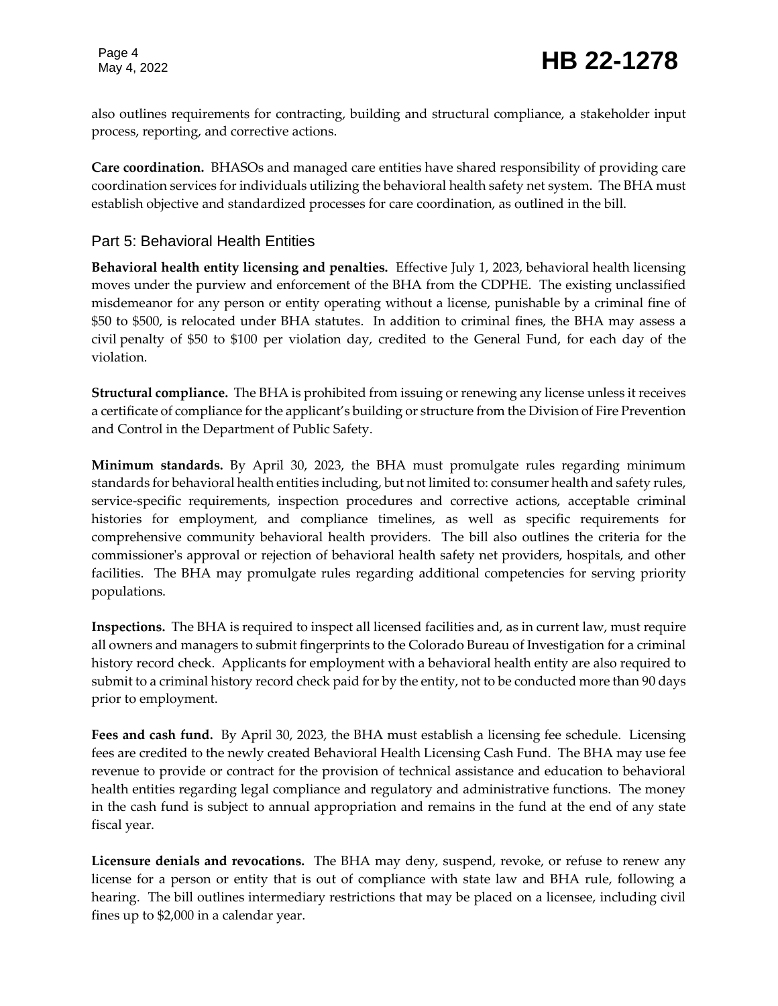also outlines requirements for contracting, building and structural compliance, a stakeholder input process, reporting, and corrective actions.

**Care coordination.** BHASOs and managed care entities have shared responsibility of providing care coordination services for individuals utilizing the behavioral health safety net system. The BHA must establish objective and standardized processes for care coordination, as outlined in the bill.

### Part 5: Behavioral Health Entities

**Behavioral health entity licensing and penalties.** Effective July 1, 2023, behavioral health licensing moves under the purview and enforcement of the BHA from the CDPHE. The existing unclassified misdemeanor for any person or entity operating without a license, punishable by a criminal fine of \$50 to \$500, is relocated under BHA statutes. In addition to criminal fines, the BHA may assess a civil penalty of \$50 to \$100 per violation day, credited to the General Fund, for each day of the violation.

**Structural compliance.** The BHA is prohibited from issuing or renewing any license unless it receives a certificate of compliance for the applicant's building or structure from the Division of Fire Prevention and Control in the Department of Public Safety.

**Minimum standards.** By April 30, 2023, the BHA must promulgate rules regarding minimum standards for behavioral health entities including, but not limited to: consumer health and safety rules, service-specific requirements, inspection procedures and corrective actions, acceptable criminal histories for employment, and compliance timelines, as well as specific requirements for comprehensive community behavioral health providers. The bill also outlines the criteria for the commissioner's approval or rejection of behavioral health safety net providers, hospitals, and other facilities. The BHA may promulgate rules regarding additional competencies for serving priority populations.

**Inspections.** The BHA is required to inspect all licensed facilities and, as in current law, must require all owners and managers to submit fingerprints to the Colorado Bureau of Investigation for a criminal history record check. Applicants for employment with a behavioral health entity are also required to submit to a criminal history record check paid for by the entity, not to be conducted more than 90 days prior to employment.

**Fees and cash fund.** By April 30, 2023, the BHA must establish a licensing fee schedule. Licensing fees are credited to the newly created Behavioral Health Licensing Cash Fund. The BHA may use fee revenue to provide or contract for the provision of technical assistance and education to behavioral health entities regarding legal compliance and regulatory and administrative functions. The money in the cash fund is subject to annual appropriation and remains in the fund at the end of any state fiscal year.

**Licensure denials and revocations.** The BHA may deny, suspend, revoke, or refuse to renew any license for a person or entity that is out of compliance with state law and BHA rule, following a hearing. The bill outlines intermediary restrictions that may be placed on a licensee, including civil fines up to \$2,000 in a calendar year.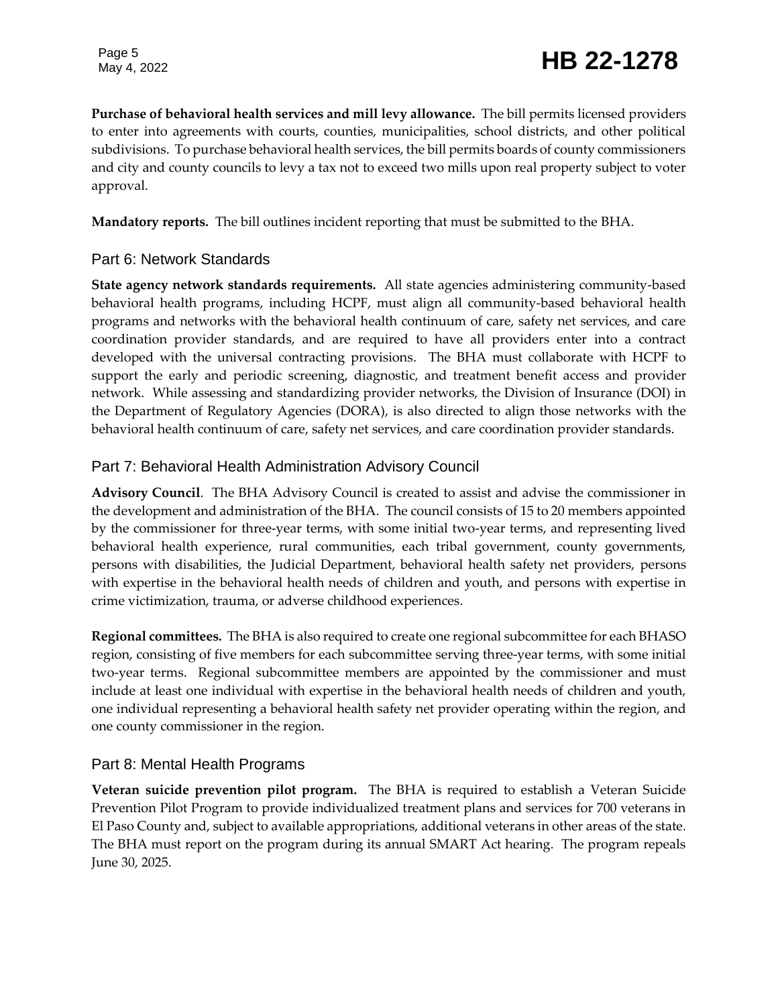**Purchase of behavioral health services and mill levy allowance.** The bill permits licensed providers to enter into agreements with courts, counties, municipalities, school districts, and other political subdivisions. To purchase behavioral health services, the bill permits boards of county commissioners and city and county councils to levy a tax not to exceed two mills upon real property subject to voter approval.

**Mandatory reports.** The bill outlines incident reporting that must be submitted to the BHA.

#### Part 6: Network Standards

**State agency network standards requirements.** All state agencies administering community-based behavioral health programs, including HCPF, must align all community-based behavioral health programs and networks with the behavioral health continuum of care, safety net services, and care coordination provider standards, and are required to have all providers enter into a contract developed with the universal contracting provisions. The BHA must collaborate with HCPF to support the early and periodic screening, diagnostic, and treatment benefit access and provider network. While assessing and standardizing provider networks, the Division of Insurance (DOI) in the Department of Regulatory Agencies (DORA), is also directed to align those networks with the behavioral health continuum of care, safety net services, and care coordination provider standards.

#### Part 7: Behavioral Health Administration Advisory Council

**Advisory Council**. The BHA Advisory Council is created to assist and advise the commissioner in the development and administration of the BHA. The council consists of 15 to 20 members appointed by the commissioner for three-year terms, with some initial two-year terms, and representing lived behavioral health experience, rural communities, each tribal government, county governments, persons with disabilities, the Judicial Department, behavioral health safety net providers, persons with expertise in the behavioral health needs of children and youth, and persons with expertise in crime victimization, trauma, or adverse childhood experiences.

**Regional committees.** The BHA is also required to create one regional subcommittee for each BHASO region, consisting of five members for each subcommittee serving three-year terms, with some initial two-year terms. Regional subcommittee members are appointed by the commissioner and must include at least one individual with expertise in the behavioral health needs of children and youth, one individual representing a behavioral health safety net provider operating within the region, and one county commissioner in the region.

### Part 8: Mental Health Programs

**Veteran suicide prevention pilot program.** The BHA is required to establish a Veteran Suicide Prevention Pilot Program to provide individualized treatment plans and services for 700 veterans in El Paso County and, subject to available appropriations, additional veterans in other areas of the state. The BHA must report on the program during its annual SMART Act hearing. The program repeals June 30, 2025.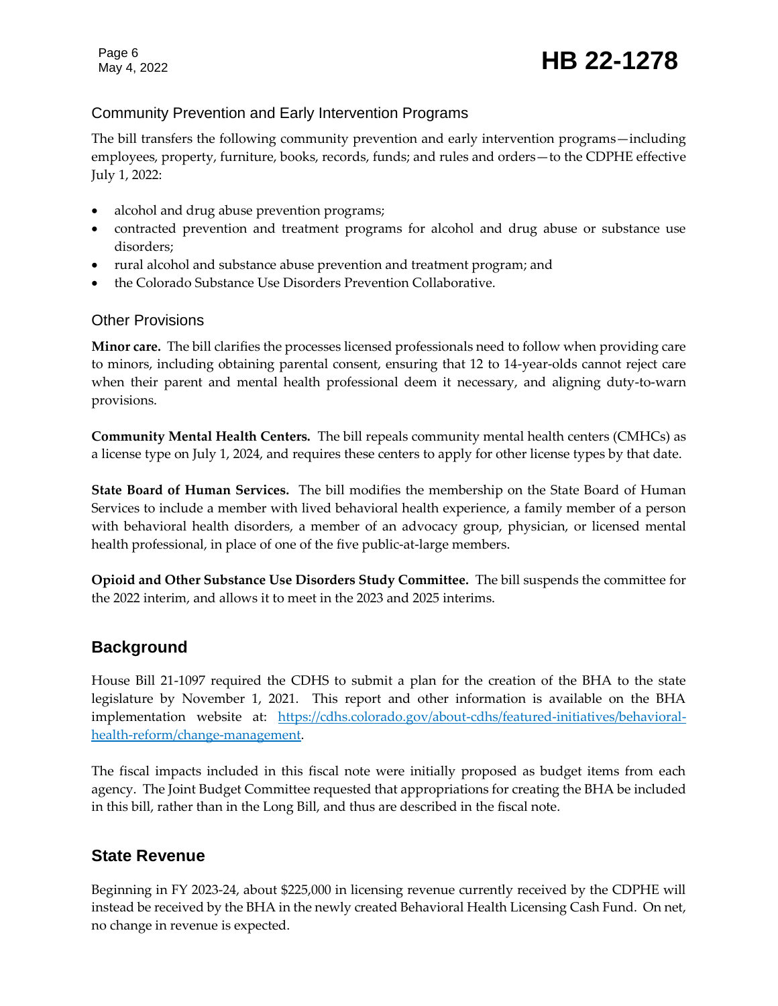# Page 6<br>May 4, 2022 **HB 22-1278**

### Community Prevention and Early Intervention Programs

The bill transfers the following community prevention and early intervention programs—including employees, property, furniture, books, records, funds; and rules and orders—to the CDPHE effective July 1, 2022:

- alcohol and drug abuse prevention programs;
- contracted prevention and treatment programs for alcohol and drug abuse or substance use disorders;
- rural alcohol and substance abuse prevention and treatment program; and
- the Colorado Substance Use Disorders Prevention Collaborative.

#### Other Provisions

**Minor care.** The bill clarifies the processes licensed professionals need to follow when providing care to minors, including obtaining parental consent, ensuring that 12 to 14-year-olds cannot reject care when their parent and mental health professional deem it necessary, and aligning duty-to-warn provisions.

**Community Mental Health Centers.** The bill repeals community mental health centers (CMHCs) as a license type on July 1, 2024, and requires these centers to apply for other license types by that date.

**State Board of Human Services.** The bill modifies the membership on the State Board of Human Services to include a member with lived behavioral health experience, a family member of a person with behavioral health disorders, a member of an advocacy group, physician, or licensed mental health professional, in place of one of the five public-at-large members.

**Opioid and Other Substance Use Disorders Study Committee.** The bill suspends the committee for the 2022 interim, and allows it to meet in the 2023 and 2025 interims.

# **Background**

House Bill 21-1097 required the CDHS to submit a plan for the creation of the BHA to the state legislature by November 1, 2021. This report and other information is available on the BHA implementation website at: [https://cdhs.colorado.gov/about-cdhs/featured-initiatives/behavioral](https://cdhs.colorado.gov/about-cdhs/featured-initiatives/behavioral-health-reform/change-management)[health-reform/change-management.](https://cdhs.colorado.gov/about-cdhs/featured-initiatives/behavioral-health-reform/change-management)

The fiscal impacts included in this fiscal note were initially proposed as budget items from each agency. The Joint Budget Committee requested that appropriations for creating the BHA be included in this bill, rather than in the Long Bill, and thus are described in the fiscal note.

# **State Revenue**

Beginning in FY 2023-24, about \$225,000 in licensing revenue currently received by the CDPHE will instead be received by the BHA in the newly created Behavioral Health Licensing Cash Fund. On net, no change in revenue is expected.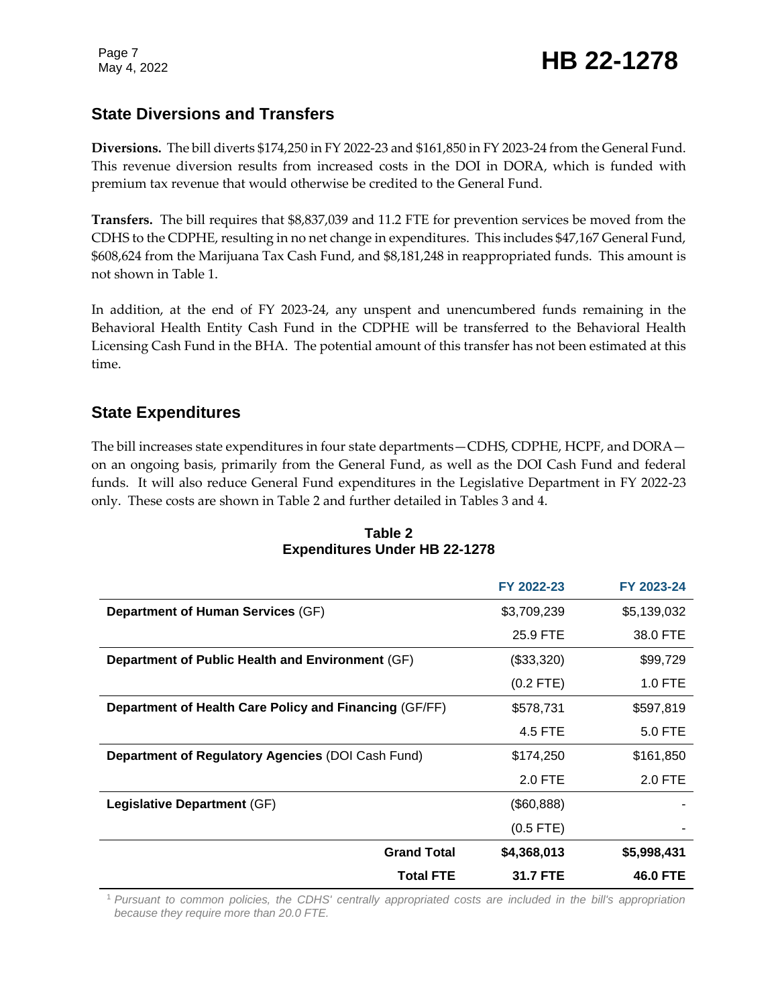# **State Diversions and Transfers**

**Diversions.** The bill diverts \$174,250 in FY 2022-23 and \$161,850 in FY 2023-24 from the General Fund. This revenue diversion results from increased costs in the DOI in DORA, which is funded with premium tax revenue that would otherwise be credited to the General Fund.

**Transfers.** The bill requires that \$8,837,039 and 11.2 FTE for prevention services be moved from the CDHS to the CDPHE, resulting in no net change in expenditures. This includes \$47,167 General Fund, \$608,624 from the Marijuana Tax Cash Fund, and \$8,181,248 in reappropriated funds. This amount is not shown in Table 1.

In addition, at the end of FY 2023-24, any unspent and unencumbered funds remaining in the Behavioral Health Entity Cash Fund in the CDPHE will be transferred to the Behavioral Health Licensing Cash Fund in the BHA. The potential amount of this transfer has not been estimated at this time.

# **State Expenditures**

The bill increases state expenditures in four state departments—CDHS, CDPHE, HCPF, and DORA on an ongoing basis, primarily from the General Fund, as well as the DOI Cash Fund and federal funds. It will also reduce General Fund expenditures in the Legislative Department in FY 2022-23 only. These costs are shown in Table 2 and further detailed in Tables 3 and 4.

|                                                        | FY 2022-23  | FY 2023-24      |
|--------------------------------------------------------|-------------|-----------------|
| <b>Department of Human Services (GF)</b>               | \$3,709,239 | \$5,139,032     |
|                                                        | 25.9 FTE    | 38.0 FTE        |
| Department of Public Health and Environment (GF)       | (\$33,320)  | \$99,729        |
|                                                        | $(0.2$ FTE) | 1.0 FTE         |
| Department of Health Care Policy and Financing (GF/FF) | \$578,731   | \$597,819       |
|                                                        | 4.5 FTE     | 5.0 FTE         |
| Department of Regulatory Agencies (DOI Cash Fund)      | \$174,250   | \$161,850       |
|                                                        | 2.0 FTE     | 2.0 FTE         |
| Legislative Department (GF)                            | (\$60,888)  |                 |
|                                                        | $(0.5$ FTE) |                 |
| <b>Grand Total</b>                                     | \$4,368,013 | \$5,998,431     |
| <b>Total FTE</b>                                       | 31.7 FTE    | <b>46.0 FTE</b> |

#### **Table 2 Expenditures Under HB 22-1278**

<sup>1</sup> *Pursuant to common policies, the CDHS' centrally appropriated costs are included in the bill's appropriation because they require more than 20.0 FTE.*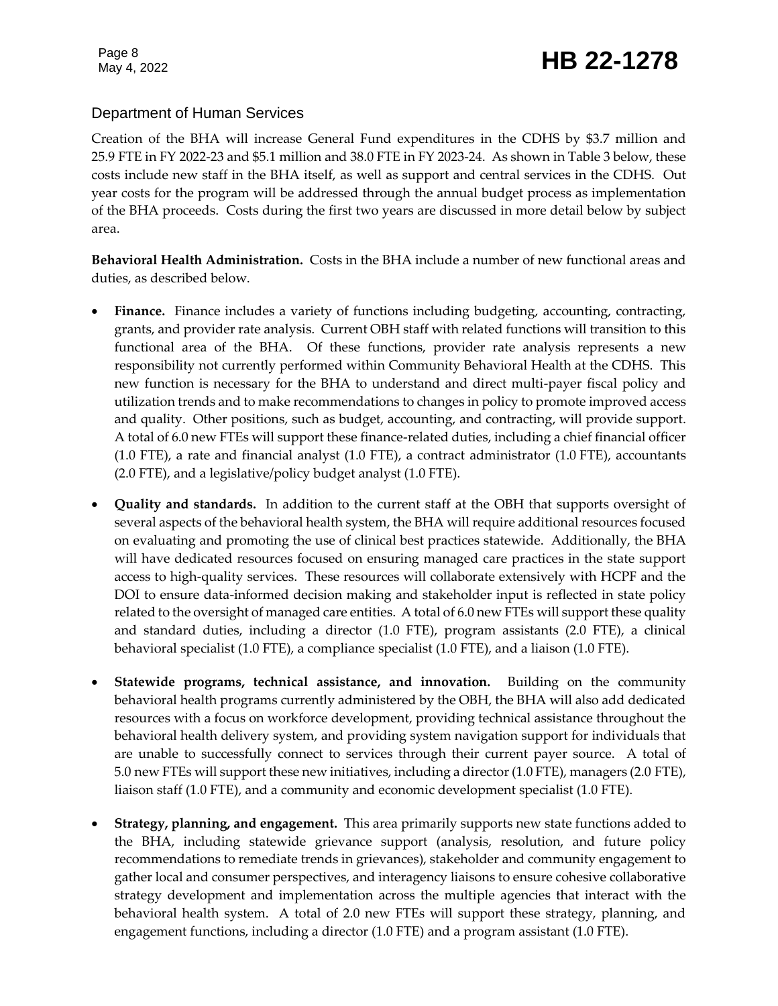# Page 8<br>May 4, 2022 **HB 22-1278**

### Department of Human Services

Creation of the BHA will increase General Fund expenditures in the CDHS by \$3.7 million and 25.9 FTE in FY 2022-23 and \$5.1 million and 38.0 FTE in FY 2023-24. As shown in Table 3 below, these costs include new staff in the BHA itself, as well as support and central services in the CDHS. Out year costs for the program will be addressed through the annual budget process as implementation of the BHA proceeds. Costs during the first two years are discussed in more detail below by subject area.

**Behavioral Health Administration.** Costs in the BHA include a number of new functional areas and duties, as described below.

- **Finance.** Finance includes a variety of functions including budgeting, accounting, contracting, grants, and provider rate analysis. Current OBH staff with related functions will transition to this functional area of the BHA. Of these functions, provider rate analysis represents a new responsibility not currently performed within Community Behavioral Health at the CDHS. This new function is necessary for the BHA to understand and direct multi-payer fiscal policy and utilization trends and to make recommendations to changes in policy to promote improved access and quality. Other positions, such as budget, accounting, and contracting, will provide support. A total of 6.0 new FTEs will support these finance-related duties, including a chief financial officer (1.0 FTE), a rate and financial analyst (1.0 FTE), a contract administrator (1.0 FTE), accountants (2.0 FTE), and a legislative/policy budget analyst (1.0 FTE).
- **Quality and standards.** In addition to the current staff at the OBH that supports oversight of several aspects of the behavioral health system, the BHA will require additional resources focused on evaluating and promoting the use of clinical best practices statewide. Additionally, the BHA will have dedicated resources focused on ensuring managed care practices in the state support access to high-quality services. These resources will collaborate extensively with HCPF and the DOI to ensure data-informed decision making and stakeholder input is reflected in state policy related to the oversight of managed care entities. A total of 6.0 new FTEs will support these quality and standard duties, including a director (1.0 FTE), program assistants (2.0 FTE), a clinical behavioral specialist (1.0 FTE), a compliance specialist (1.0 FTE), and a liaison (1.0 FTE).
- **Statewide programs, technical assistance, and innovation.** Building on the community behavioral health programs currently administered by the OBH, the BHA will also add dedicated resources with a focus on workforce development, providing technical assistance throughout the behavioral health delivery system, and providing system navigation support for individuals that are unable to successfully connect to services through their current payer source. A total of 5.0 new FTEs will support these new initiatives, including a director (1.0 FTE), managers (2.0 FTE), liaison staff (1.0 FTE), and a community and economic development specialist (1.0 FTE).
- **Strategy, planning, and engagement.** This area primarily supports new state functions added to the BHA, including statewide grievance support (analysis, resolution, and future policy recommendations to remediate trends in grievances), stakeholder and community engagement to gather local and consumer perspectives, and interagency liaisons to ensure cohesive collaborative strategy development and implementation across the multiple agencies that interact with the behavioral health system. A total of 2.0 new FTEs will support these strategy, planning, and engagement functions, including a director (1.0 FTE) and a program assistant (1.0 FTE).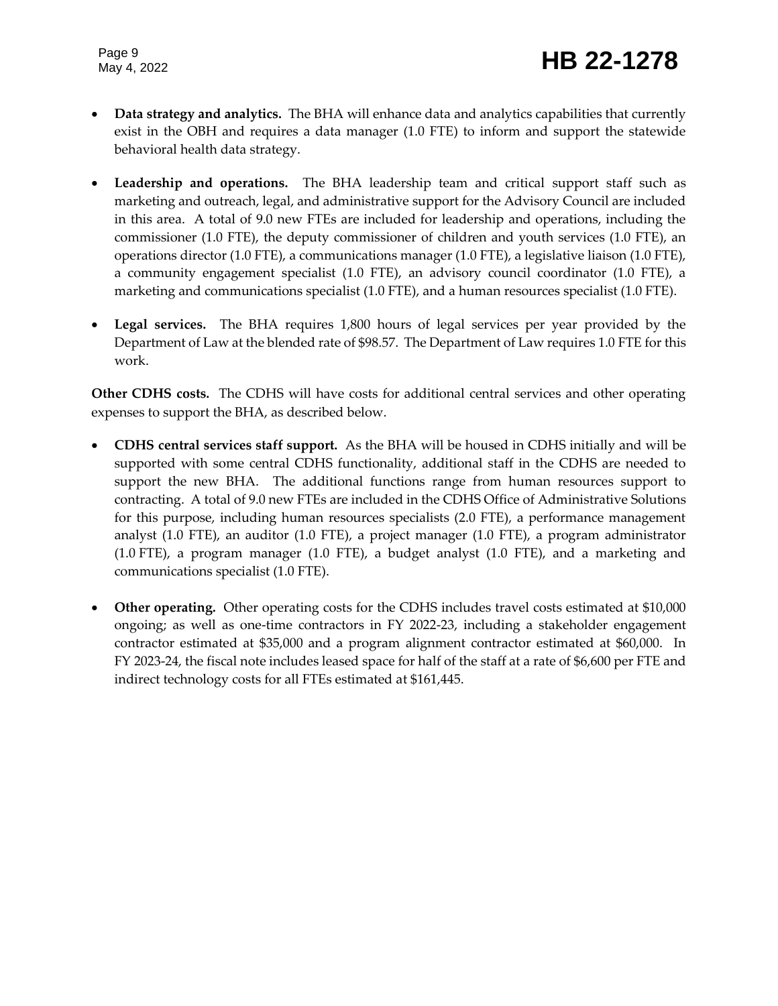- **Data strategy and analytics.** The BHA will enhance data and analytics capabilities that currently exist in the OBH and requires a data manager (1.0 FTE) to inform and support the statewide behavioral health data strategy.
- **Leadership and operations.** The BHA leadership team and critical support staff such as marketing and outreach, legal, and administrative support for the Advisory Council are included in this area. A total of 9.0 new FTEs are included for leadership and operations, including the commissioner (1.0 FTE), the deputy commissioner of children and youth services (1.0 FTE), an operations director (1.0 FTE), a communications manager (1.0 FTE), a legislative liaison (1.0 FTE), a community engagement specialist (1.0 FTE), an advisory council coordinator (1.0 FTE), a marketing and communications specialist (1.0 FTE), and a human resources specialist (1.0 FTE).
- **Legal services.** The BHA requires 1,800 hours of legal services per year provided by the Department of Law at the blended rate of \$98.57. The Department of Law requires 1.0 FTE for this work.

**Other CDHS costs.** The CDHS will have costs for additional central services and other operating expenses to support the BHA, as described below.

- **CDHS central services staff support.** As the BHA will be housed in CDHS initially and will be supported with some central CDHS functionality, additional staff in the CDHS are needed to support the new BHA. The additional functions range from human resources support to contracting. A total of 9.0 new FTEs are included in the CDHS Office of Administrative Solutions for this purpose, including human resources specialists (2.0 FTE), a performance management analyst (1.0 FTE), an auditor (1.0 FTE), a project manager (1.0 FTE), a program administrator (1.0 FTE), a program manager (1.0 FTE), a budget analyst (1.0 FTE), and a marketing and communications specialist (1.0 FTE).
- **Other operating.** Other operating costs for the CDHS includes travel costs estimated at \$10,000 ongoing; as well as one-time contractors in FY 2022-23, including a stakeholder engagement contractor estimated at \$35,000 and a program alignment contractor estimated at \$60,000. In FY 2023-24, the fiscal note includes leased space for half of the staff at a rate of \$6,600 per FTE and indirect technology costs for all FTEs estimated at \$161,445.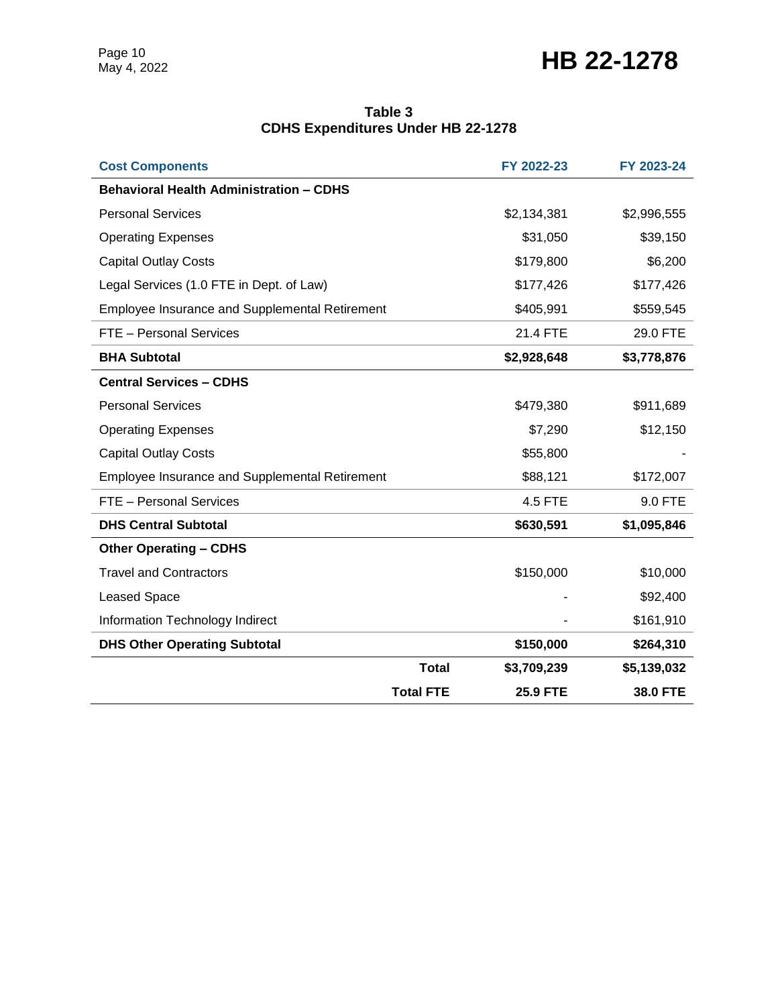### **Table 3 CDHS Expenditures Under HB 22-1278**

| <b>Cost Components</b>                                |                  | FY 2022-23      | FY 2023-24  |
|-------------------------------------------------------|------------------|-----------------|-------------|
| <b>Behavioral Health Administration - CDHS</b>        |                  |                 |             |
| <b>Personal Services</b>                              |                  | \$2,134,381     | \$2,996,555 |
| <b>Operating Expenses</b>                             |                  | \$31,050        | \$39,150    |
| <b>Capital Outlay Costs</b>                           |                  | \$179,800       | \$6,200     |
| Legal Services (1.0 FTE in Dept. of Law)              |                  | \$177,426       | \$177,426   |
| <b>Employee Insurance and Supplemental Retirement</b> |                  | \$405,991       | \$559,545   |
| FTE - Personal Services                               |                  | 21.4 FTE        | 29.0 FTE    |
| <b>BHA Subtotal</b>                                   |                  | \$2,928,648     | \$3,778,876 |
| <b>Central Services - CDHS</b>                        |                  |                 |             |
| <b>Personal Services</b>                              |                  | \$479,380       | \$911,689   |
| <b>Operating Expenses</b>                             |                  | \$7,290         | \$12,150    |
| <b>Capital Outlay Costs</b>                           |                  | \$55,800        |             |
| <b>Employee Insurance and Supplemental Retirement</b> |                  | \$88,121        | \$172,007   |
| FTE - Personal Services                               |                  | 4.5 FTE         | 9.0 FTE     |
| <b>DHS Central Subtotal</b>                           |                  | \$630,591       | \$1,095,846 |
| <b>Other Operating - CDHS</b>                         |                  |                 |             |
| <b>Travel and Contractors</b>                         |                  | \$150,000       | \$10,000    |
| <b>Leased Space</b>                                   |                  |                 | \$92,400    |
| Information Technology Indirect                       |                  |                 | \$161,910   |
| <b>DHS Other Operating Subtotal</b>                   |                  | \$150,000       | \$264,310   |
|                                                       | <b>Total</b>     | \$3,709,239     | \$5,139,032 |
|                                                       | <b>Total FTE</b> | <b>25.9 FTE</b> | 38.0 FTE    |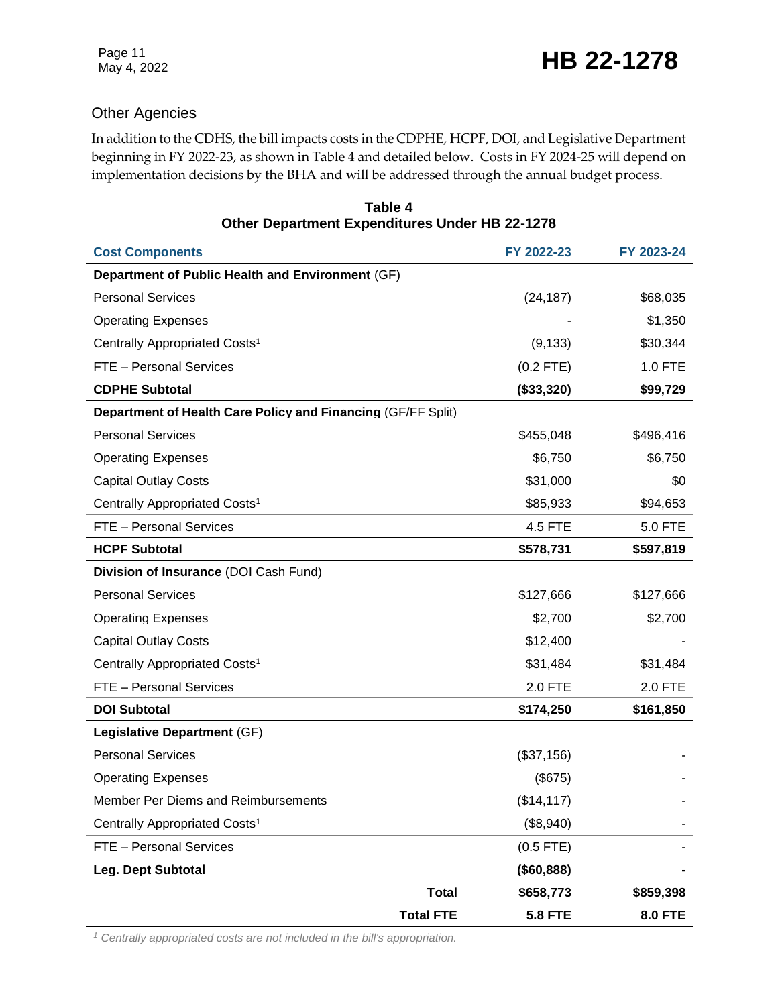### Other Agencies

In addition to the CDHS, the bill impacts costs in the CDPHE, HCPF, DOI, and Legislative Department beginning in FY 2022-23, as shown in Table 4 and detailed below.Costs in FY 2024-25 will depend on implementation decisions by the BHA and will be addressed through the annual budget process.

| <b>Cost Components</b>                                       |                  | FY 2022-23     | FY 2023-24     |
|--------------------------------------------------------------|------------------|----------------|----------------|
| Department of Public Health and Environment (GF)             |                  |                |                |
| <b>Personal Services</b>                                     |                  | (24, 187)      | \$68,035       |
| <b>Operating Expenses</b>                                    |                  |                | \$1,350        |
| Centrally Appropriated Costs <sup>1</sup>                    |                  | (9, 133)       | \$30,344       |
| FTE - Personal Services                                      |                  | $(0.2$ FTE)    | 1.0 FTE        |
| <b>CDPHE Subtotal</b>                                        |                  | (\$33,320)     | \$99,729       |
| Department of Health Care Policy and Financing (GF/FF Split) |                  |                |                |
| <b>Personal Services</b>                                     |                  | \$455,048      | \$496,416      |
| <b>Operating Expenses</b>                                    |                  | \$6,750        | \$6,750        |
| <b>Capital Outlay Costs</b>                                  |                  | \$31,000       | \$0            |
| Centrally Appropriated Costs <sup>1</sup>                    |                  | \$85,933       | \$94,653       |
| FTE - Personal Services                                      |                  | <b>4.5 FTE</b> | 5.0 FTE        |
| <b>HCPF Subtotal</b>                                         |                  | \$578,731      | \$597,819      |
| Division of Insurance (DOI Cash Fund)                        |                  |                |                |
| <b>Personal Services</b>                                     |                  | \$127,666      | \$127,666      |
| <b>Operating Expenses</b>                                    |                  | \$2,700        | \$2,700        |
| <b>Capital Outlay Costs</b>                                  |                  | \$12,400       |                |
| Centrally Appropriated Costs <sup>1</sup>                    |                  | \$31,484       | \$31,484       |
| FTE - Personal Services                                      |                  | <b>2.0 FTE</b> | 2.0 FTE        |
| <b>DOI Subtotal</b>                                          |                  | \$174,250      | \$161,850      |
| Legislative Department (GF)                                  |                  |                |                |
| <b>Personal Services</b>                                     |                  | (\$37,156)     |                |
| <b>Operating Expenses</b>                                    |                  | (\$675)        |                |
| Member Per Diems and Reimbursements                          |                  | (\$14, 117)    |                |
| Centrally Appropriated Costs <sup>1</sup>                    |                  | (\$8,940)      |                |
| FTE - Personal Services                                      |                  | $(0.5$ FTE)    |                |
| Leg. Dept Subtotal                                           |                  | (\$60,888)     |                |
|                                                              | <b>Total</b>     | \$658,773      | \$859,398      |
|                                                              | <b>Total FTE</b> | <b>5.8 FTE</b> | <b>8.0 FTE</b> |

**Table 4 Other Department Expenditures Under HB 22-1278**

*<sup>1</sup> Centrally appropriated costs are not included in the bill's appropriation.*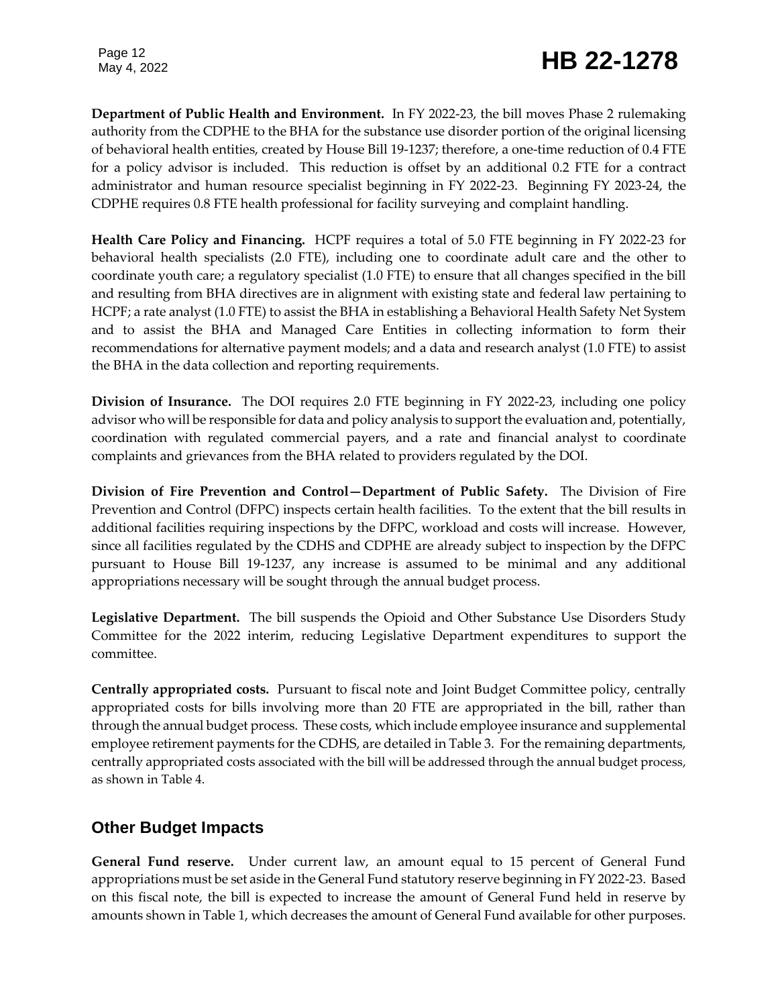**Department of Public Health and Environment.** In FY 2022-23, the bill moves Phase 2 rulemaking authority from the CDPHE to the BHA for the substance use disorder portion of the original licensing of behavioral health entities, created by House Bill 19-1237; therefore, a one-time reduction of 0.4 FTE for a policy advisor is included. This reduction is offset by an additional 0.2 FTE for a contract administrator and human resource specialist beginning in FY 2022-23. Beginning FY 2023-24, the CDPHE requires 0.8 FTE health professional for facility surveying and complaint handling.

**Health Care Policy and Financing.** HCPF requires a total of 5.0 FTE beginning in FY 2022-23 for behavioral health specialists (2.0 FTE), including one to coordinate adult care and the other to coordinate youth care; a regulatory specialist (1.0 FTE) to ensure that all changes specified in the bill and resulting from BHA directives are in alignment with existing state and federal law pertaining to HCPF; a rate analyst (1.0 FTE) to assist the BHA in establishing a Behavioral Health Safety Net System and to assist the BHA and Managed Care Entities in collecting information to form their recommendations for alternative payment models; and a data and research analyst (1.0 FTE) to assist the BHA in the data collection and reporting requirements.

**Division of Insurance.** The DOI requires 2.0 FTE beginning in FY 2022-23, including one policy advisor who will be responsible for data and policy analysis to support the evaluation and, potentially, coordination with regulated commercial payers, and a rate and financial analyst to coordinate complaints and grievances from the BHA related to providers regulated by the DOI.

**Division of Fire Prevention and Control—Department of Public Safety.** The Division of Fire Prevention and Control (DFPC) inspects certain health facilities. To the extent that the bill results in additional facilities requiring inspections by the DFPC, workload and costs will increase. However, since all facilities regulated by the CDHS and CDPHE are already subject to inspection by the DFPC pursuant to House Bill 19-1237, any increase is assumed to be minimal and any additional appropriations necessary will be sought through the annual budget process.

**Legislative Department.** The bill suspends the Opioid and Other Substance Use Disorders Study Committee for the 2022 interim, reducing Legislative Department expenditures to support the committee.

**Centrally appropriated costs.** Pursuant to fiscal note and Joint Budget Committee policy, centrally appropriated costs for bills involving more than 20 FTE are appropriated in the bill, rather than through the annual budget process. These costs, which include employee insurance and supplemental employee retirement payments for the CDHS, are detailed in Table 3. For the remaining departments, centrally appropriated costs associated with the bill will be addressed through the annual budget process, as shown in Table 4.

# **Other Budget Impacts**

**General Fund reserve.** Under current law, an amount equal to 15 percent of General Fund appropriations must be set aside in the General Fund statutory reserve beginning in FY 2022-23. Based on this fiscal note, the bill is expected to increase the amount of General Fund held in reserve by amounts shown in Table 1, which decreases the amount of General Fund available for other purposes.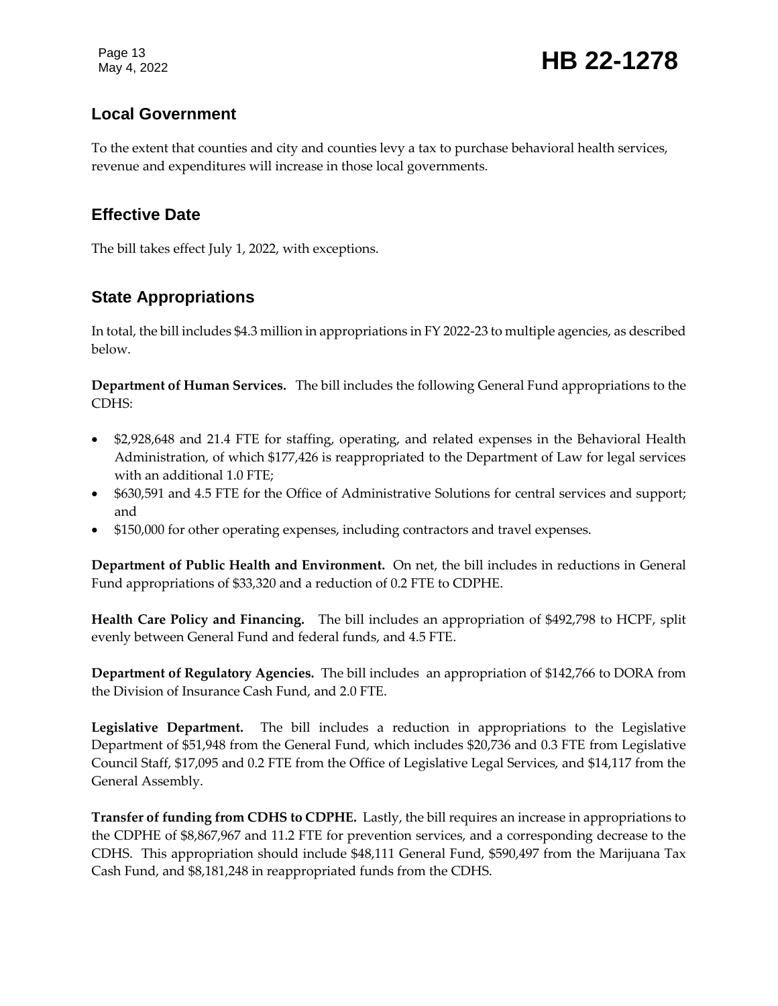Page 13<br>May 4, 2022 **HB 22-1278** 

# **Local Government**

To the extent that counties and city and counties levy a tax to purchase behavioral health services, revenue and expenditures will increase in those local governments.

# **Effective Date**

The bill takes effect July 1, 2022, with exceptions.

# **State Appropriations**

In total, the bill includes \$4.3 million in appropriations in FY 2022-23 to multiple agencies, as described below.

**Department of Human Services.** The bill includes the following General Fund appropriations to the CDHS:

- \$2,928,648 and 21.4 FTE for staffing, operating, and related expenses in the Behavioral Health Administration, of which \$177,426 is reappropriated to the Department of Law for legal services with an additional 1.0 FTE;
- \$630,591 and 4.5 FTE for the Office of Administrative Solutions for central services and support; and
- \$150,000 for other operating expenses, including contractors and travel expenses.

**Department of Public Health and Environment.** On net, the bill includes in reductions in General Fund appropriations of \$33,320 and a reduction of 0.2 FTE to CDPHE.

**Health Care Policy and Financing.** The bill includes an appropriation of \$492,798 to HCPF, split evenly between General Fund and federal funds, and 4.5 FTE.

**Department of Regulatory Agencies.** The bill includes an appropriation of \$142,766 to DORA from the Division of Insurance Cash Fund, and 2.0 FTE.

**Legislative Department.** The bill includes a reduction in appropriations to the Legislative Department of \$51,948 from the General Fund, which includes \$20,736 and 0.3 FTE from Legislative Council Staff, \$17,095 and 0.2 FTE from the Office of Legislative Legal Services, and \$14,117 from the General Assembly.

**Transfer of funding from CDHS to CDPHE.** Lastly, the bill requires an increase in appropriations to the CDPHE of \$8,867,967 and 11.2 FTE for prevention services, and a corresponding decrease to the CDHS. This appropriation should include \$48,111 General Fund, \$590,497 from the Marijuana Tax Cash Fund, and \$8,181,248 in reappropriated funds from the CDHS.